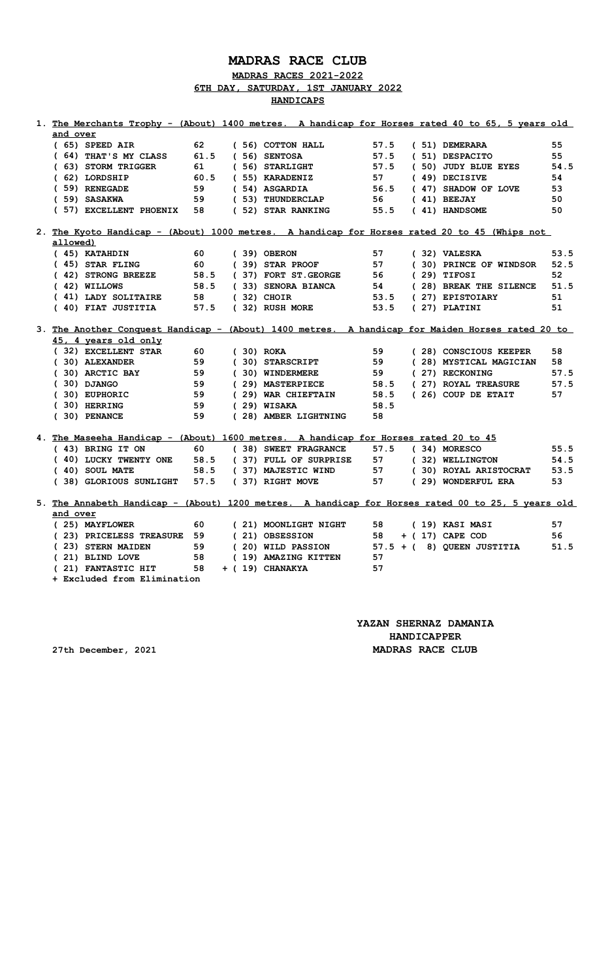## **MADRAS RACE CLUB**

**MADRAS RACES 2021-2022 6TH DAY, SATURDAY, 1ST JANUARY 2022**

**HANDICAPS**

| and over<br>$(65)$ SPEED AIR<br>62<br>(56) COTTON HALL<br>57.5<br>(51) DEMERARA<br>55<br>(64) THAT'S MY CLASS<br>61.5<br>57.5<br>55<br>(56) SENTOSA<br>(51) DESPACITO<br>(63) STORM TRIGGER<br>(56) STARLIGHT<br>57.5<br>(50) JUDY BLUE EYES<br>61<br>(62) LORDSHIP<br>60.5<br>(55) KARADENIZ<br>(49) DECISIVE<br>57<br>54<br>(59) RENEGADE<br>59<br>(54) ASGARDIA<br>56.5<br>(47) SHADOW OF LOVE<br>53<br>(59) SASAKWA<br>(53) THUNDERCLAP<br>$(41)$ BEEJAY<br>50<br>59<br>56 —<br>(57) EXCELLENT PHOENIX<br>(52) STAR RANKING<br>55.5<br>(41) HANDSOME<br>50<br>58<br>2. The Kyoto Handicap - (About) 1000 metres. A handicap for Horses rated 20 to 45 (Whips not<br>allowed)<br>(45) KATAHDIN<br>60<br>$(39)$ OBERON<br>57<br>(32) VALESKA<br>(45) STAR FLING<br>60 —<br>57<br>(30) PRINCE OF WINDSOR<br>$(39)$ STAR PROOF<br>(42) STRONG BREEZE<br>58.5<br>(37) FORT ST.GEORGE 56<br>$(29)$ TIFOSI<br>52<br>$(42)$ WILLOWS<br>58.5<br>(33) SENORA BIANCA<br>54<br>(28) BREAK THE SILENCE<br>(41) LADY SOLITAIRE 58<br>53.5 (27) EPISTOIARY<br>$(32)$ CHOIR<br>51<br>(40) FIAT JUSTITIA<br>57.5<br>(32) RUSH MORE<br>53.5<br>$(27)$ PLATINI<br>51<br>3. The Another Conquest Handicap - (About) 1400 metres. A handicap for Maiden Horses rated 20 to<br>45, 4 years old only<br>(32) EXCELLENT STAR<br>60<br>$(30)$ ROKA<br>59<br>(28) CONSCIOUS KEEPER<br>58<br>59<br>(30) ALEXANDER<br>(30) STARSCRIPT<br>59<br>(28) MYSTICAL MAGICIAN<br>58<br>(30) ARCTIC BAY<br>59<br>(30) WINDERMERE<br>59<br>(27) RECKONING<br>$(30)$ DJANGO<br>59<br>(29) MASTERPIECE<br>58.5<br>(27) ROYAL TREASURE<br>$(30)$ EUPHORIC<br>59<br>(29) WAR CHIEFTAIN<br>58.5<br>(26) COUP DE ETAIT<br>$(30)$ HERRING<br>59<br>$(29)$ WISAKA<br>58.5<br>$(30)$ PENANCE<br>59<br>(28) AMBER LIGHTNING<br>58<br>4. The Maseeha Handicap - (About) 1600 metres. A handicap for Horses rated 20 to 45<br>60<br>57.5<br>(43) BRING IT ON<br>(38) SWEET FRAGRANCE<br>$(34)$ MORESCO<br>(40) LUCKY TWENTY ONE 58.5<br>(37) FULL OF SURPRISE<br>57 (32) WELLINGTON<br>(40) SOUL MATE<br>58.5 (37) MAJESTIC WIND<br>57 (30) ROYAL ARISTOCRAT<br>(38) GLORIOUS SUNLIGHT 57.5<br>(37) RIGHT MOVE<br>57<br>(29) WONDERFUL ERA<br>5. The Annabeth Handicap - (About) 1200 metres. A handicap for Horses rated 00 to 25, 5 years old<br>and over<br>(25) MAYFLOWER<br>60<br>57<br>(21) MOONLIGHT NIGHT<br>58<br>(19) KASI MASI<br>(23) PRICELESS TREASURE 59<br>$+$ (17) CAPE COD<br>56<br>(21) OBSESSION<br>58<br>(23) STERN MAIDEN<br>59<br>(20) WILD PASSION<br>57.5 + (8) QUEEN JUSTITIA<br>(21) BLIND LOVE<br>58<br>(19) AMAZING KITTEN<br>57<br>(21) FANTASTIC HIT<br>+ (19) CHANAKYA<br>58<br>57<br>+ Excluded from Elimination | 1. The Merchants Trophy - (About) 1400 metres. A handicap for Horses rated 40 to 65, 5 years old |  |  |  |  |  |  |      |
|-----------------------------------------------------------------------------------------------------------------------------------------------------------------------------------------------------------------------------------------------------------------------------------------------------------------------------------------------------------------------------------------------------------------------------------------------------------------------------------------------------------------------------------------------------------------------------------------------------------------------------------------------------------------------------------------------------------------------------------------------------------------------------------------------------------------------------------------------------------------------------------------------------------------------------------------------------------------------------------------------------------------------------------------------------------------------------------------------------------------------------------------------------------------------------------------------------------------------------------------------------------------------------------------------------------------------------------------------------------------------------------------------------------------------------------------------------------------------------------------------------------------------------------------------------------------------------------------------------------------------------------------------------------------------------------------------------------------------------------------------------------------------------------------------------------------------------------------------------------------------------------------------------------------------------------------------------------------------------------------------------------------------------------------------------------------------------------------------------------------------------------------------------------------------------------------------------------------------------------------------------------------------------------------------------------------------------------------------------------------------------------------------------------------------------------------------------------------------------------------------------------------------------------------------------------------------------------------------------------------------------------------------------------------------------------------------------|--------------------------------------------------------------------------------------------------|--|--|--|--|--|--|------|
|                                                                                                                                                                                                                                                                                                                                                                                                                                                                                                                                                                                                                                                                                                                                                                                                                                                                                                                                                                                                                                                                                                                                                                                                                                                                                                                                                                                                                                                                                                                                                                                                                                                                                                                                                                                                                                                                                                                                                                                                                                                                                                                                                                                                                                                                                                                                                                                                                                                                                                                                                                                                                                                                                                     |                                                                                                  |  |  |  |  |  |  |      |
|                                                                                                                                                                                                                                                                                                                                                                                                                                                                                                                                                                                                                                                                                                                                                                                                                                                                                                                                                                                                                                                                                                                                                                                                                                                                                                                                                                                                                                                                                                                                                                                                                                                                                                                                                                                                                                                                                                                                                                                                                                                                                                                                                                                                                                                                                                                                                                                                                                                                                                                                                                                                                                                                                                     |                                                                                                  |  |  |  |  |  |  |      |
|                                                                                                                                                                                                                                                                                                                                                                                                                                                                                                                                                                                                                                                                                                                                                                                                                                                                                                                                                                                                                                                                                                                                                                                                                                                                                                                                                                                                                                                                                                                                                                                                                                                                                                                                                                                                                                                                                                                                                                                                                                                                                                                                                                                                                                                                                                                                                                                                                                                                                                                                                                                                                                                                                                     |                                                                                                  |  |  |  |  |  |  |      |
|                                                                                                                                                                                                                                                                                                                                                                                                                                                                                                                                                                                                                                                                                                                                                                                                                                                                                                                                                                                                                                                                                                                                                                                                                                                                                                                                                                                                                                                                                                                                                                                                                                                                                                                                                                                                                                                                                                                                                                                                                                                                                                                                                                                                                                                                                                                                                                                                                                                                                                                                                                                                                                                                                                     |                                                                                                  |  |  |  |  |  |  | 54.5 |
|                                                                                                                                                                                                                                                                                                                                                                                                                                                                                                                                                                                                                                                                                                                                                                                                                                                                                                                                                                                                                                                                                                                                                                                                                                                                                                                                                                                                                                                                                                                                                                                                                                                                                                                                                                                                                                                                                                                                                                                                                                                                                                                                                                                                                                                                                                                                                                                                                                                                                                                                                                                                                                                                                                     |                                                                                                  |  |  |  |  |  |  |      |
|                                                                                                                                                                                                                                                                                                                                                                                                                                                                                                                                                                                                                                                                                                                                                                                                                                                                                                                                                                                                                                                                                                                                                                                                                                                                                                                                                                                                                                                                                                                                                                                                                                                                                                                                                                                                                                                                                                                                                                                                                                                                                                                                                                                                                                                                                                                                                                                                                                                                                                                                                                                                                                                                                                     |                                                                                                  |  |  |  |  |  |  |      |
|                                                                                                                                                                                                                                                                                                                                                                                                                                                                                                                                                                                                                                                                                                                                                                                                                                                                                                                                                                                                                                                                                                                                                                                                                                                                                                                                                                                                                                                                                                                                                                                                                                                                                                                                                                                                                                                                                                                                                                                                                                                                                                                                                                                                                                                                                                                                                                                                                                                                                                                                                                                                                                                                                                     |                                                                                                  |  |  |  |  |  |  |      |
|                                                                                                                                                                                                                                                                                                                                                                                                                                                                                                                                                                                                                                                                                                                                                                                                                                                                                                                                                                                                                                                                                                                                                                                                                                                                                                                                                                                                                                                                                                                                                                                                                                                                                                                                                                                                                                                                                                                                                                                                                                                                                                                                                                                                                                                                                                                                                                                                                                                                                                                                                                                                                                                                                                     |                                                                                                  |  |  |  |  |  |  |      |
|                                                                                                                                                                                                                                                                                                                                                                                                                                                                                                                                                                                                                                                                                                                                                                                                                                                                                                                                                                                                                                                                                                                                                                                                                                                                                                                                                                                                                                                                                                                                                                                                                                                                                                                                                                                                                                                                                                                                                                                                                                                                                                                                                                                                                                                                                                                                                                                                                                                                                                                                                                                                                                                                                                     |                                                                                                  |  |  |  |  |  |  |      |
|                                                                                                                                                                                                                                                                                                                                                                                                                                                                                                                                                                                                                                                                                                                                                                                                                                                                                                                                                                                                                                                                                                                                                                                                                                                                                                                                                                                                                                                                                                                                                                                                                                                                                                                                                                                                                                                                                                                                                                                                                                                                                                                                                                                                                                                                                                                                                                                                                                                                                                                                                                                                                                                                                                     |                                                                                                  |  |  |  |  |  |  |      |
|                                                                                                                                                                                                                                                                                                                                                                                                                                                                                                                                                                                                                                                                                                                                                                                                                                                                                                                                                                                                                                                                                                                                                                                                                                                                                                                                                                                                                                                                                                                                                                                                                                                                                                                                                                                                                                                                                                                                                                                                                                                                                                                                                                                                                                                                                                                                                                                                                                                                                                                                                                                                                                                                                                     |                                                                                                  |  |  |  |  |  |  | 53.5 |
|                                                                                                                                                                                                                                                                                                                                                                                                                                                                                                                                                                                                                                                                                                                                                                                                                                                                                                                                                                                                                                                                                                                                                                                                                                                                                                                                                                                                                                                                                                                                                                                                                                                                                                                                                                                                                                                                                                                                                                                                                                                                                                                                                                                                                                                                                                                                                                                                                                                                                                                                                                                                                                                                                                     |                                                                                                  |  |  |  |  |  |  | 52.5 |
|                                                                                                                                                                                                                                                                                                                                                                                                                                                                                                                                                                                                                                                                                                                                                                                                                                                                                                                                                                                                                                                                                                                                                                                                                                                                                                                                                                                                                                                                                                                                                                                                                                                                                                                                                                                                                                                                                                                                                                                                                                                                                                                                                                                                                                                                                                                                                                                                                                                                                                                                                                                                                                                                                                     |                                                                                                  |  |  |  |  |  |  |      |
|                                                                                                                                                                                                                                                                                                                                                                                                                                                                                                                                                                                                                                                                                                                                                                                                                                                                                                                                                                                                                                                                                                                                                                                                                                                                                                                                                                                                                                                                                                                                                                                                                                                                                                                                                                                                                                                                                                                                                                                                                                                                                                                                                                                                                                                                                                                                                                                                                                                                                                                                                                                                                                                                                                     |                                                                                                  |  |  |  |  |  |  | 51.5 |
|                                                                                                                                                                                                                                                                                                                                                                                                                                                                                                                                                                                                                                                                                                                                                                                                                                                                                                                                                                                                                                                                                                                                                                                                                                                                                                                                                                                                                                                                                                                                                                                                                                                                                                                                                                                                                                                                                                                                                                                                                                                                                                                                                                                                                                                                                                                                                                                                                                                                                                                                                                                                                                                                                                     |                                                                                                  |  |  |  |  |  |  |      |
|                                                                                                                                                                                                                                                                                                                                                                                                                                                                                                                                                                                                                                                                                                                                                                                                                                                                                                                                                                                                                                                                                                                                                                                                                                                                                                                                                                                                                                                                                                                                                                                                                                                                                                                                                                                                                                                                                                                                                                                                                                                                                                                                                                                                                                                                                                                                                                                                                                                                                                                                                                                                                                                                                                     |                                                                                                  |  |  |  |  |  |  |      |
|                                                                                                                                                                                                                                                                                                                                                                                                                                                                                                                                                                                                                                                                                                                                                                                                                                                                                                                                                                                                                                                                                                                                                                                                                                                                                                                                                                                                                                                                                                                                                                                                                                                                                                                                                                                                                                                                                                                                                                                                                                                                                                                                                                                                                                                                                                                                                                                                                                                                                                                                                                                                                                                                                                     |                                                                                                  |  |  |  |  |  |  |      |
|                                                                                                                                                                                                                                                                                                                                                                                                                                                                                                                                                                                                                                                                                                                                                                                                                                                                                                                                                                                                                                                                                                                                                                                                                                                                                                                                                                                                                                                                                                                                                                                                                                                                                                                                                                                                                                                                                                                                                                                                                                                                                                                                                                                                                                                                                                                                                                                                                                                                                                                                                                                                                                                                                                     |                                                                                                  |  |  |  |  |  |  |      |
|                                                                                                                                                                                                                                                                                                                                                                                                                                                                                                                                                                                                                                                                                                                                                                                                                                                                                                                                                                                                                                                                                                                                                                                                                                                                                                                                                                                                                                                                                                                                                                                                                                                                                                                                                                                                                                                                                                                                                                                                                                                                                                                                                                                                                                                                                                                                                                                                                                                                                                                                                                                                                                                                                                     |                                                                                                  |  |  |  |  |  |  |      |
|                                                                                                                                                                                                                                                                                                                                                                                                                                                                                                                                                                                                                                                                                                                                                                                                                                                                                                                                                                                                                                                                                                                                                                                                                                                                                                                                                                                                                                                                                                                                                                                                                                                                                                                                                                                                                                                                                                                                                                                                                                                                                                                                                                                                                                                                                                                                                                                                                                                                                                                                                                                                                                                                                                     |                                                                                                  |  |  |  |  |  |  |      |
|                                                                                                                                                                                                                                                                                                                                                                                                                                                                                                                                                                                                                                                                                                                                                                                                                                                                                                                                                                                                                                                                                                                                                                                                                                                                                                                                                                                                                                                                                                                                                                                                                                                                                                                                                                                                                                                                                                                                                                                                                                                                                                                                                                                                                                                                                                                                                                                                                                                                                                                                                                                                                                                                                                     |                                                                                                  |  |  |  |  |  |  | 57.5 |
|                                                                                                                                                                                                                                                                                                                                                                                                                                                                                                                                                                                                                                                                                                                                                                                                                                                                                                                                                                                                                                                                                                                                                                                                                                                                                                                                                                                                                                                                                                                                                                                                                                                                                                                                                                                                                                                                                                                                                                                                                                                                                                                                                                                                                                                                                                                                                                                                                                                                                                                                                                                                                                                                                                     |                                                                                                  |  |  |  |  |  |  | 57.5 |
|                                                                                                                                                                                                                                                                                                                                                                                                                                                                                                                                                                                                                                                                                                                                                                                                                                                                                                                                                                                                                                                                                                                                                                                                                                                                                                                                                                                                                                                                                                                                                                                                                                                                                                                                                                                                                                                                                                                                                                                                                                                                                                                                                                                                                                                                                                                                                                                                                                                                                                                                                                                                                                                                                                     |                                                                                                  |  |  |  |  |  |  | 57   |
|                                                                                                                                                                                                                                                                                                                                                                                                                                                                                                                                                                                                                                                                                                                                                                                                                                                                                                                                                                                                                                                                                                                                                                                                                                                                                                                                                                                                                                                                                                                                                                                                                                                                                                                                                                                                                                                                                                                                                                                                                                                                                                                                                                                                                                                                                                                                                                                                                                                                                                                                                                                                                                                                                                     |                                                                                                  |  |  |  |  |  |  |      |
|                                                                                                                                                                                                                                                                                                                                                                                                                                                                                                                                                                                                                                                                                                                                                                                                                                                                                                                                                                                                                                                                                                                                                                                                                                                                                                                                                                                                                                                                                                                                                                                                                                                                                                                                                                                                                                                                                                                                                                                                                                                                                                                                                                                                                                                                                                                                                                                                                                                                                                                                                                                                                                                                                                     |                                                                                                  |  |  |  |  |  |  |      |
|                                                                                                                                                                                                                                                                                                                                                                                                                                                                                                                                                                                                                                                                                                                                                                                                                                                                                                                                                                                                                                                                                                                                                                                                                                                                                                                                                                                                                                                                                                                                                                                                                                                                                                                                                                                                                                                                                                                                                                                                                                                                                                                                                                                                                                                                                                                                                                                                                                                                                                                                                                                                                                                                                                     |                                                                                                  |  |  |  |  |  |  |      |
|                                                                                                                                                                                                                                                                                                                                                                                                                                                                                                                                                                                                                                                                                                                                                                                                                                                                                                                                                                                                                                                                                                                                                                                                                                                                                                                                                                                                                                                                                                                                                                                                                                                                                                                                                                                                                                                                                                                                                                                                                                                                                                                                                                                                                                                                                                                                                                                                                                                                                                                                                                                                                                                                                                     |                                                                                                  |  |  |  |  |  |  | 55.5 |
|                                                                                                                                                                                                                                                                                                                                                                                                                                                                                                                                                                                                                                                                                                                                                                                                                                                                                                                                                                                                                                                                                                                                                                                                                                                                                                                                                                                                                                                                                                                                                                                                                                                                                                                                                                                                                                                                                                                                                                                                                                                                                                                                                                                                                                                                                                                                                                                                                                                                                                                                                                                                                                                                                                     |                                                                                                  |  |  |  |  |  |  | 54.5 |
|                                                                                                                                                                                                                                                                                                                                                                                                                                                                                                                                                                                                                                                                                                                                                                                                                                                                                                                                                                                                                                                                                                                                                                                                                                                                                                                                                                                                                                                                                                                                                                                                                                                                                                                                                                                                                                                                                                                                                                                                                                                                                                                                                                                                                                                                                                                                                                                                                                                                                                                                                                                                                                                                                                     |                                                                                                  |  |  |  |  |  |  | 53.5 |
|                                                                                                                                                                                                                                                                                                                                                                                                                                                                                                                                                                                                                                                                                                                                                                                                                                                                                                                                                                                                                                                                                                                                                                                                                                                                                                                                                                                                                                                                                                                                                                                                                                                                                                                                                                                                                                                                                                                                                                                                                                                                                                                                                                                                                                                                                                                                                                                                                                                                                                                                                                                                                                                                                                     |                                                                                                  |  |  |  |  |  |  | 53   |
|                                                                                                                                                                                                                                                                                                                                                                                                                                                                                                                                                                                                                                                                                                                                                                                                                                                                                                                                                                                                                                                                                                                                                                                                                                                                                                                                                                                                                                                                                                                                                                                                                                                                                                                                                                                                                                                                                                                                                                                                                                                                                                                                                                                                                                                                                                                                                                                                                                                                                                                                                                                                                                                                                                     |                                                                                                  |  |  |  |  |  |  |      |
|                                                                                                                                                                                                                                                                                                                                                                                                                                                                                                                                                                                                                                                                                                                                                                                                                                                                                                                                                                                                                                                                                                                                                                                                                                                                                                                                                                                                                                                                                                                                                                                                                                                                                                                                                                                                                                                                                                                                                                                                                                                                                                                                                                                                                                                                                                                                                                                                                                                                                                                                                                                                                                                                                                     |                                                                                                  |  |  |  |  |  |  |      |
|                                                                                                                                                                                                                                                                                                                                                                                                                                                                                                                                                                                                                                                                                                                                                                                                                                                                                                                                                                                                                                                                                                                                                                                                                                                                                                                                                                                                                                                                                                                                                                                                                                                                                                                                                                                                                                                                                                                                                                                                                                                                                                                                                                                                                                                                                                                                                                                                                                                                                                                                                                                                                                                                                                     |                                                                                                  |  |  |  |  |  |  |      |
|                                                                                                                                                                                                                                                                                                                                                                                                                                                                                                                                                                                                                                                                                                                                                                                                                                                                                                                                                                                                                                                                                                                                                                                                                                                                                                                                                                                                                                                                                                                                                                                                                                                                                                                                                                                                                                                                                                                                                                                                                                                                                                                                                                                                                                                                                                                                                                                                                                                                                                                                                                                                                                                                                                     |                                                                                                  |  |  |  |  |  |  |      |
|                                                                                                                                                                                                                                                                                                                                                                                                                                                                                                                                                                                                                                                                                                                                                                                                                                                                                                                                                                                                                                                                                                                                                                                                                                                                                                                                                                                                                                                                                                                                                                                                                                                                                                                                                                                                                                                                                                                                                                                                                                                                                                                                                                                                                                                                                                                                                                                                                                                                                                                                                                                                                                                                                                     |                                                                                                  |  |  |  |  |  |  | 51.5 |
|                                                                                                                                                                                                                                                                                                                                                                                                                                                                                                                                                                                                                                                                                                                                                                                                                                                                                                                                                                                                                                                                                                                                                                                                                                                                                                                                                                                                                                                                                                                                                                                                                                                                                                                                                                                                                                                                                                                                                                                                                                                                                                                                                                                                                                                                                                                                                                                                                                                                                                                                                                                                                                                                                                     |                                                                                                  |  |  |  |  |  |  |      |
|                                                                                                                                                                                                                                                                                                                                                                                                                                                                                                                                                                                                                                                                                                                                                                                                                                                                                                                                                                                                                                                                                                                                                                                                                                                                                                                                                                                                                                                                                                                                                                                                                                                                                                                                                                                                                                                                                                                                                                                                                                                                                                                                                                                                                                                                                                                                                                                                                                                                                                                                                                                                                                                                                                     |                                                                                                  |  |  |  |  |  |  |      |
|                                                                                                                                                                                                                                                                                                                                                                                                                                                                                                                                                                                                                                                                                                                                                                                                                                                                                                                                                                                                                                                                                                                                                                                                                                                                                                                                                                                                                                                                                                                                                                                                                                                                                                                                                                                                                                                                                                                                                                                                                                                                                                                                                                                                                                                                                                                                                                                                                                                                                                                                                                                                                                                                                                     |                                                                                                  |  |  |  |  |  |  |      |

**YAZAN SHERNAZ DAMANIA HANDICAPPER 27th December, 2021 MADRAS RACE CLUB**